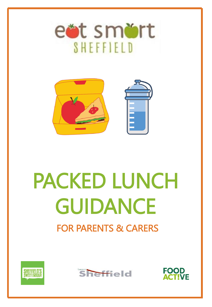



# PACKED LUNCH GUIDANCE FOR PARENTS & CARERS





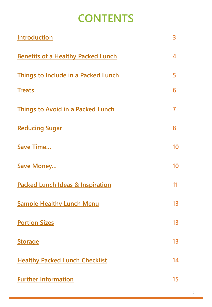### **CONTENTS**

| <b>Introduction</b>                         | 3              |
|---------------------------------------------|----------------|
| <b>Benefits of a Healthy Packed Lunch</b>   | 4              |
| <b>Things to Include in a Packed Lunch</b>  | 5              |
| <b>Treats</b>                               | 6              |
| <b>Things to Avoid in a Packed Lunch</b>    | $\overline{7}$ |
| <b>Reducing Sugar</b>                       | 8              |
| <b>Save Time</b>                            | 10             |
| <b>Save Money</b>                           | 10             |
| <b>Packed Lunch Ideas &amp; Inspiration</b> | 11             |
| <b>Sample Healthy Lunch Menu</b>            | 13             |
| <b>Portion Sizes</b>                        | 13             |
| <b>Storage</b>                              | 13             |
| <b>Healthy Packed Lunch Checklist</b>       | 14             |
| <b>Further Information</b>                  | 15             |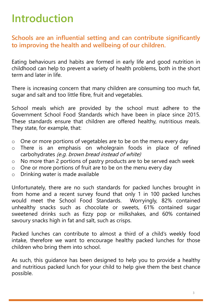### <span id="page-2-0"></span>**Introduction**

**Schools are an influential setting and can contribute significantly to improving the health and wellbeing of our children.**

Eating behaviours and habits are formed in early life and good nutrition in childhood can help to prevent a variety of health problems, both in the short term and later in life.

There is increasing concern that many children are consuming too much fat, sugar and salt and too little fibre, fruit and vegetables.

School meals which are provided by the school must adhere to the Government School Food Standards which have been in place since 2015. These standards ensure that children are offered healthy, nutritious meals. They state, for example, that:

- o One or more portions of vegetables are to be on the menu every day
- o There is an emphasis on wholegrain foods in place of refined carbohydrates (e.g. brown bread instead of white)
- o No more than 2 portions of pastry products are to be served each week
- o One or more portions of fruit are to be on the menu every day
- o Drinking water is made available

Unfortunately, there are no such standards for packed lunches brought in from home and a recent survey found that only 1 in 100 packed lunches would meet the School Food Standards. Worryingly, 82% contained unhealthy snacks such as chocolate or sweets, 61% contained sugar sweetened drinks such as fizzy pop or milkshakes, and 60% contained savoury snacks high in fat and salt, such as crisps.

Packed lunches can contribute to almost a third of a child's weekly food intake, therefore we want to encourage healthy packed lunches for those children who bring them into school.

As such, this guidance has been designed to help you to provide a healthy and nutritious packed lunch for your child to help give them the best chance possible.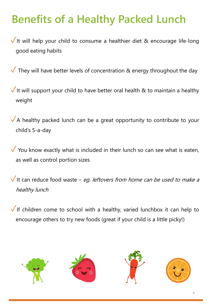# <span id="page-3-0"></span>**Benefits of a Healthy Packed Lunch**

 $\sqrt{}$  It will help your child to consume a healthier diet & encourage life-long good eating habits

 $\sqrt{\ }$  They will have better levels of concentration & energy throughout the day

 $\sqrt{}$  It will support your child to have better oral health & to maintain a healthy weight

 $\sqrt{A}$  healthy packed lunch can be a great opportunity to contribute to your child's 5-a-day

 $\checkmark$  You know exactly what is included in their lunch so can see what is eaten, as well as control portion sizes

 $\sqrt{}$  It can reduce food waste – eg. leftovers from home can be used to make a healthy lunch

✓If children come to school with <sup>a</sup> healthy, varied lunchbox it can help to encourage others to try new foods (great if your child is a little picky!)

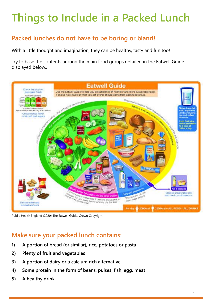# <span id="page-4-0"></span>**Things to Include in a Packed Lunch**

#### **Packed lunches do not have to be boring or bland!**

With a little thought and imagination, they can be healthy, tasty and fun too!

Try to base the contents around the main food groups detailed in the Eatwell Guide displayed below..



Public Health England (2020) The Eatwell Guide. Crown Copyright

#### **Make sure your packed lunch contains:**

- **1) A portion of bread (or similar), rice, potatoes or pasta**
- **2) Plenty of fruit and vegetables**
- **3) A portion of dairy or a calcium rich alternative**
- **4) Some protein in the form of beans, pulses, fish, egg, meat**
- **5) A healthy drink**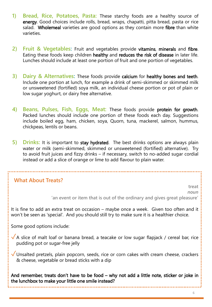- <span id="page-5-0"></span>**1) Bread, Rice, Potatoes, Pasta:** These starchy foods are a healthy source of energy. Good choices include rolls, bread, wraps, chapatti, pitta bread, pasta or rice salad. Wholemeal varieties are good options as they contain more fibre than white varieties.
- **2) Fruit & Vegetables:** Fruit and vegetables provide vitamins, minerals and fibre. Eating these foods keep children healthy and reduces the risk of disease in later life. Lunches should include at least one portion of fruit and one portion of vegetables.
- **3) Dairy & Alternatives:** These foods provide calcium for healthy bones and teeth. Include one portion at lunch, for example a drink of semi-skimmed or skimmed milk or unsweetened (fortified) soya milk, an individual cheese portion or pot of plain or low sugar yoghurt, or dairy free alternative.
- **4) Beans, Pulses, Fish, Eggs, Meat:** These foods provide protein for growth. Packed lunches should include one portion of these foods each day. Suggestions include boiled egg, ham, chicken, soya, Quorn, tuna, mackerel, salmon, hummus, chickpeas, lentils or beans.
- **5) Drinks:** It is important to stay hydrated. The best drinks options are always plain water or milk (semi-skimmed, skimmed or unsweetened (fortified) alternative). Try to avoid fruit juices and fizzy drinks – if necessary, switch to no-added sugar cordial instead or add a slice of orange or lime to add flavour to plain water.

### **What About Treats? treat**  *noun* **'an event or item that is out of the ordinary and gives great pleasure'** It is fine to add an extra treat on occasion – maybe once a week. Given too often and it won't be seen as 'special'. And you should still try to make sure it is a healthier choice. Some good options include:  $\sqrt{}$  A slice of malt loaf or banana bread, a teacake or low sugar flapjack / cereal bar, rice pudding pot or sugar-free jelly  $\sqrt$  Unsalted pretzels, plain popcorn, seeds, rice or corn cakes with cream cheese, crackers & cheese, vegetable or bread sticks with a dip And remember, treats don't have to be food – why not add a little note, sticker or joke in the lunchbox to make your little one smile instead?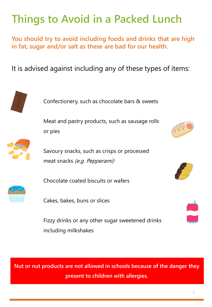### <span id="page-6-0"></span>**Things to Avoid in a Packed Lunch**

**You should try to avoid including foods and drinks that are high in fat, sugar and/or salt as these are bad for our health.**

It is advised against including any of these types of items:



Confectionery, such as chocolate bars & sweets

Meat and pastry products, such as sausage rolls or pies



Savoury snacks, such as crisps or processed meat snacks (e.g. Pepperami)



Chocolate coated biscuits or wafers

Cakes, bakes, buns or slices

Fizzy drinks or any other sugar sweetened drinks including milkshakes

**Nut or nut products are not allowed in schools because of the danger they present to children with allergies.**





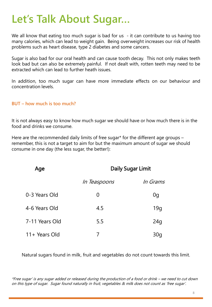### <span id="page-7-0"></span>**Let's Talk About Sugar…**

We all know that eating too much sugar is bad for us - it can contribute to us having too many calories, which can lead to weight gain. Being overweight increases our risk of health problems such as heart disease, type 2 diabetes and some cancers.

Sugar is also bad for our oral health and can cause tooth decay. This not only makes teeth look bad but can also be extremely painful. If not dealt with, rotten teeth may need to be extracted which can lead to further heath issues.

In addition, too much sugar can have more immediate effects on our behaviour and concentration levels.

#### **BUT – how much is too much?**

It is not always easy to know how much sugar we should have or how much there is in the food and drinks we consume.

Here are the recommended daily limits of free sugar\* for the different age groups – remember, this is not a target to aim for but the maximum amount of sugar we should consume in one day (the less sugar, the better!):

| Age            |                     | <b>Daily Sugar Limit</b> |  |  |
|----------------|---------------------|--------------------------|--|--|
|                | <i>In Teaspoons</i> | <i>In Grams</i>          |  |  |
| 0-3 Years Old  | 0                   | 0g                       |  |  |
| 4-6 Years Old  | 4.5                 | 19q                      |  |  |
| 7-11 Years Old | 5.5                 | 24 <sub>g</sub>          |  |  |
| 11+ Years Old  |                     | 30a                      |  |  |

Natural sugars found in milk, fruit and vegetables do not count towards this limit.

\*Free sugar' is any sugar added or released during the production of a food or drink – we need to cut down on this type of sugar. Sugar found naturally in fruit, vegetables & milk does not count as 'free sugar'.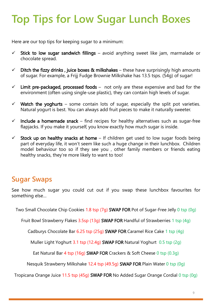# **Top Tips for Low Sugar Lunch Boxes**

Here are our top tips for keeping sugar to a minimum:

- $\checkmark$  Stick to low sugar sandwich fillings avoid anything sweet like jam, marmalade or chocolate spread.
- $\checkmark$  Ditch the fizzy drinks, juice boxes & milkshakes these have surprisingly high amounts of sugar. For example, a Frijj Fudge Brownie Milkshake has 13.5 tsps. (54g) of sugar!
- $\checkmark$  Limit pre-packaged, processed foods not only are these expensive and bad for the environment (often using single-use plastic), they can contain high levels of sugar.
- $\checkmark$  Watch the yoghurts some contain lots of sugar, especially the split pot varieties. Natural yogurt is best. You can always add fruit pieces to make it naturally sweeter.
- $\checkmark$  Include a homemade snack find recipes for healthy alternatives such as sugar-free flapjacks. If you make it yourself, you know exactly how much sugar is inside.
- $\checkmark$  Stock up on healthy snacks at home If children get used to low sugar foods being part of everyday life, it won't seem like such a huge change in their lunchbox. Children model behaviour too so if they see you , other family members or friends eating healthy snacks, they're more likely to want to too!

### **Sugar Swaps**

See how much sugar you could cut out if you swap these lunchbox favourites for something else…

Two Small Chocolate Chip Cookies 1.8 tsp (7g) SWAP FOR Pot of Sugar-Free Jelly 0 tsp (0g)

Fruit Bowl Strawberry Flakes 3.5sp (13g) SWAP FOR Handful of Strawberries 1 tsp (4g)

Cadburys Chocolate Bar 6.25 tsp (25g) SWAP FOR Caramel Rice Cake 1 tsp (4g)

Muller Light Yoghurt 3.1 tsp (12.4g) SWAP FOR Natural Yoghurt 0.5 tsp (2g)

Eat Natural Bar 4 tsp (16g) SWAP FOR Crackers & Soft Cheese 0 tsp (0.3g)

Nesquik Strawberry Milkshake 12.4 tsp (49.5g) SWAP FOR Plain Water 0 tsp (0g)

Tropicana Orange Juice 11.5 tsp (45g) SWAP FOR No Added Sugar Orange Cordial 0 tsp (0g)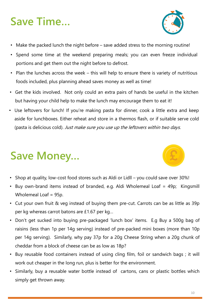# <span id="page-9-0"></span>**Save Time…**



- Make the packed lunch the night before save added stress to the morning routine!
- Spend some time at the weekend preparing meals; you can even freeze individual portions and get them out the night before to defrost.
- Plan the lunches across the week this will help to ensure there is variety of nutritious foods included, plus planning ahead saves money as well as time!
- Get the kids involved. Not only could an extra pairs of hands be useful in the kitchen but having your child help to make the lunch may encourage them to eat it!
- Use leftovers for lunch! If you're making pasta for dinner, cook a little extra and keep aside for lunchboxes. Either reheat and store in a thermos flash, or if suitable serve cold (pasta is delicious cold). Just make sure you use up the leftovers within two days.

# **Save Money…**

- Shop at quality, low-cost food stores such as Aldi or Lidll you could save over 30%!
- Buy own-brand items instead of branded, e.g. Aldi Wholemeal Loaf = 49p; Kingsmill Wholemeal Loaf = 95p.
- Cut your own fruit & veg instead of buying them pre-cut. Carrots can be as little as 39p per kg whereas carrot batons are £1.67 per kg…
- Don't get sucked into buying pre-packaged 'lunch box' items. E.g Buy a 500g bag of raisins (less than 1p per 14g serving) instead of pre-packed mini boxes (more than 10p per 14g serving). Similarly, why pay 37p for a 20g Cheese String when a 20g chunk of cheddar from a block of cheese can be as low as 18p?
- Buy reusable food containers instead of using cling film, foil or sandwich bags ; it will work out cheaper in the long run, plus is better for the environment.
- Similarly, buy a reusable water bottle instead of cartons, cans or plastic bottles which simply get thrown away.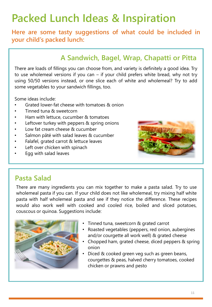### <span id="page-10-0"></span>**Packed Lunch Ideas & Inspiration**

**Here are some tasty suggestions of what could be included in your child's packed lunch:**

#### **A Sandwich, Bagel, Wrap, Chapatti or Pitta**

There are loads of fillings you can choose from, and variety is definitely a good idea. Try to use wholemeal versions if you can – if your child prefers white bread, why not try using 50/50 versions instead, or one slice each of white and wholemeal? Try to add some vegetables to your sandwich fillings, too.

Some ideas include:

- Grated lower-fat cheese with tomatoes & onion
- Tinned tuna & sweetcorn
- Ham with lettuce, cucumber & tomatoes
- Leftover turkey with peppers & spring onions
- Low fat cream cheese & cucumber
- Salmon pâté with salad leaves & cucumber
- Falafel, grated carrot & lettuce leaves
- Left over chicken with spinach
- Egg with salad leaves



#### **Pasta Salad**

There are many ingredients you can mix together to make a pasta salad. Try to use wholemeal pasta if you can. If your child does not like wholemeal, try mixing half white pasta with half wholemeal pasta and see if they notice the difference. These recipes would also work well with cooked and cooled rice, boiled and sliced potatoes, couscous or quinoa. Suggestions include:



- Tinned tuna, sweetcorn & grated carrot
- Roasted vegetables (peppers, red onion, aubergines and/or courgette all work well) & grated cheese
- Chopped ham, grated cheese, diced peppers & spring onion
- Diced & cooked green veg such as green beans, courgettes & peas, halved cherry tomatoes, cooked chicken or prawns and pesto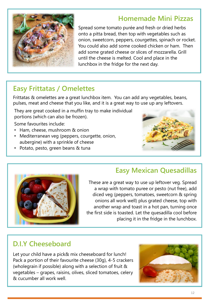#### **Homemade Mini Pizzas**



Spread some tomato purée and fresh or dried herbs onto a pitta bread, then top with vegetables such as onion, sweetcorn, peppers, courgettes, spinach or rocket. You could also add some cooked chicken or ham. Then add some grated cheese or slices of mozzarella. Grill until the cheese is melted. Cool and place in the lunchbox in the fridge for the next day.

### **Easy Frittatas / Omelettes**

Frittatas & omelettes are a great lunchbox item. You can add any vegetables, beans, pulses, meat and cheese that you like, and it is a great way to use up any leftovers.

They are great cooked in a muffin tray to make individual portions (which can also be frozen).

Some favourites include:

- Ham, cheese, mushroom & onion
- Mediterranean veg (peppers, courgette, onion, aubergine) with a sprinkle of cheese
- Potato, pesto, green beans & tuna





### **Easy Mexican Quesadillas**

These are a great way to use up leftover veg. Spread a wrap with tomato puree or pesto (nut free), add diced veg (peppers, tomatoes, sweetcorn & spring onions all work well) plus grated cheese, top with another wrap and toast in a hot pan, turning once the first side is toasted. Let the quesadilla cool before placing it in the fridge in the lunchbox.

#### **D.I.Y Cheeseboard**

Let your child have a pick& mix cheeseboard for lunch! Pack a portion of their favourite cheese (30g), 4-5 crackers (wholegrain if possible) along with a selection of fruit & vegetables – grapes, raisins, olives, sliced tomatoes, celery & cucumber all work well.

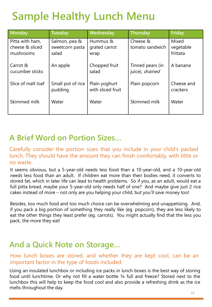### <span id="page-12-0"></span>**Sample Healthy Lunch Menu**

| <b>Monday</b>                                   | <b>Tuesday</b>                            | Wednesday                          | <b>Thursday</b>                     | <b>Friday</b>                  |
|-------------------------------------------------|-------------------------------------------|------------------------------------|-------------------------------------|--------------------------------|
| Pitta with ham,<br>cheese & sliced<br>mushrooms | Salmon, pea &<br>sweetcorn pasta<br>salad | Hummus &<br>grated carrot<br>wrap  | Cheese &<br>tomato sandwich         | Mixed<br>vegetable<br>frittata |
| Carrot &<br>cucumber sticks                     | An apple                                  | Chopped fruit<br>salad             | Tinned pears (in<br>juice), drained | A banana                       |
| Slice of malt loaf                              | Small pot of rice<br>pudding              | Plain yoghurt<br>with sliced fruit | Plain popcorn                       | Cheese and<br>crackers         |
| Skimmed milk                                    | Water                                     | Water                              | Skimmed milk                        | Water                          |

### **A Brief Word on Portion Sizes…**

#### Carefully consider the portion sizes that you include in your child's packed lunch. They should have the amount they can finish comfortably, with little or no waste.

It seems obvious, but a 5-year-old needs less food than a 10-year-old, and a 10-year-old needs less food than an adult. If children eat more than their bodies need, it converts to stored fat, which in later life can lead to health problems. So if you, as an adult, would eat a full pitta bread, maybe your 5-year-old only needs half of one? And maybe give just 2 rice cakes instead of more – not only are you helping your child, but you'll save money too!

Besides, too much food and too much choice can be overwhelming and unappetising. And, if you pack a big portion of something they really like (eg. popcorn), they are less likely to eat the other things they least prefer (eg. carrots). You might actually find that the less you pack, the more they eat!

### **And a Quick Note on Storage…**

#### How lunch boxes are stored, and whether they are kept cool, can be an important factor in the type of foods included.

Using an insulated lunchbox or including ice packs in lunch boxes is the best way of storing food until lunchtime. Or why not fill a water bottle ¾ full and freeze? Stored next to the lunchbox this will help to keep the food cool and also provide a refreshing drink as the ice melts throughout the day.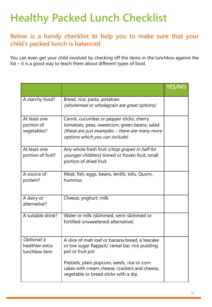# <span id="page-13-0"></span>**Healthy Packed Lunch Checklist**

#### **Below is a handy checklist to help you to make sure that your child's packed lunch is balanced**

You can even get your child involved by checking off the items in the lunchbox against the list – it is a good way to teach them about different types of food.

|                                                 |                                                                                                                                                                                | <b>YES/NO</b> |
|-------------------------------------------------|--------------------------------------------------------------------------------------------------------------------------------------------------------------------------------|---------------|
| A starchy food?                                 | Bread, rice, pasta, potatoes<br>(wholemeal or wholegrain are great options)                                                                                                    |               |
| At least one<br>portion of<br>vegetables?       | Carrot, cucumber or pepper sticks; cherry<br>tomatoes, peas, sweetcorn, green beans, salad<br>(these are just examples - there are many more<br>options which you can include) |               |
| At least one<br>portion of fruit?               | Any whole fresh fruit (chop grapes in half for<br>younger children), tinned or frozen fruit; small<br>portion of dried fruit                                                   |               |
| A source of<br>protein?                         | Meat, fish, eggs, beans, lentils, tofu, Quorn,<br>hummus                                                                                                                       |               |
| A dairy or<br>alternative?                      | Cheese, yoghurt, milk                                                                                                                                                          |               |
| A suitable drink?                               | Water or milk (skimmed, semi-skimmed or<br>fortified unsweetened alternative)                                                                                                  |               |
| Optional. a<br>healthier extra<br>lunchbox item | A slice of malt loaf or banana bread, a teacake<br>or low sugar flapjack/ cereal bar, rice pudding<br>pot or fruit pot                                                         |               |
|                                                 | Pretzels, plain popcorn, seeds, rice or corn<br>cakes with cream cheese, crackers and cheese,<br>vegetable or bread sticks with a dip.                                         |               |